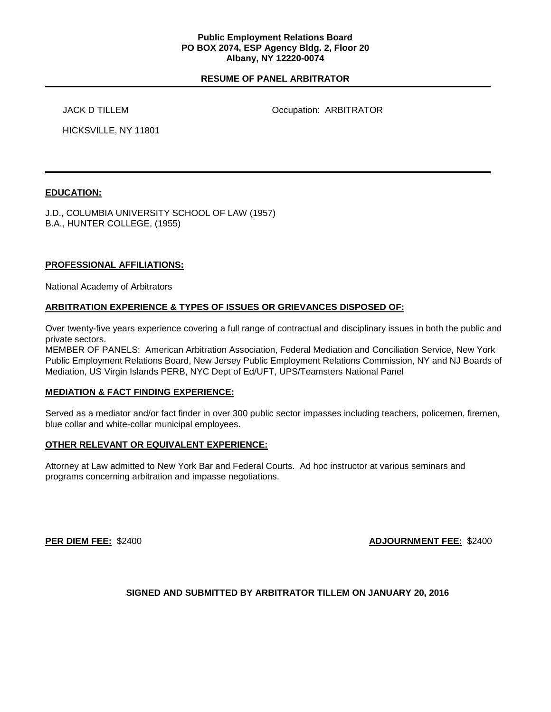### **Public Employment Relations Board PO BOX 2074, ESP Agency Bldg. 2, Floor 20 Albany, NY 12220-0074**

## **RESUME OF PANEL ARBITRATOR**

JACK D TILLEM **OCCUPATION** Occupation: ARBITRATOR

HICKSVILLE, NY 11801

## **EDUCATION:**

J.D., COLUMBIA UNIVERSITY SCHOOL OF LAW (1957) B.A., HUNTER COLLEGE, (1955)

## **PROFESSIONAL AFFILIATIONS:**

National Academy of Arbitrators

## **ARBITRATION EXPERIENCE & TYPES OF ISSUES OR GRIEVANCES DISPOSED OF:**

Over twenty-five years experience covering a full range of contractual and disciplinary issues in both the public and private sectors.

MEMBER OF PANELS: American Arbitration Association, Federal Mediation and Conciliation Service, New York Public Employment Relations Board, New Jersey Public Employment Relations Commission, NY and NJ Boards of Mediation, US Virgin Islands PERB, NYC Dept of Ed/UFT, UPS/Teamsters National Panel

### **MEDIATION & FACT FINDING EXPERIENCE:**

Served as a mediator and/or fact finder in over 300 public sector impasses including teachers, policemen, firemen, blue collar and white-collar municipal employees.

### **OTHER RELEVANT OR EQUIVALENT EXPERIENCE:**

Attorney at Law admitted to New York Bar and Federal Courts. Ad hoc instructor at various seminars and programs concerning arbitration and impasse negotiations.

**PER DIEM FEE:** \$2400 **ADJOURNMENT FEE:** \$2400

# **SIGNED AND SUBMITTED BY ARBITRATOR TILLEM ON JANUARY 20, 2016**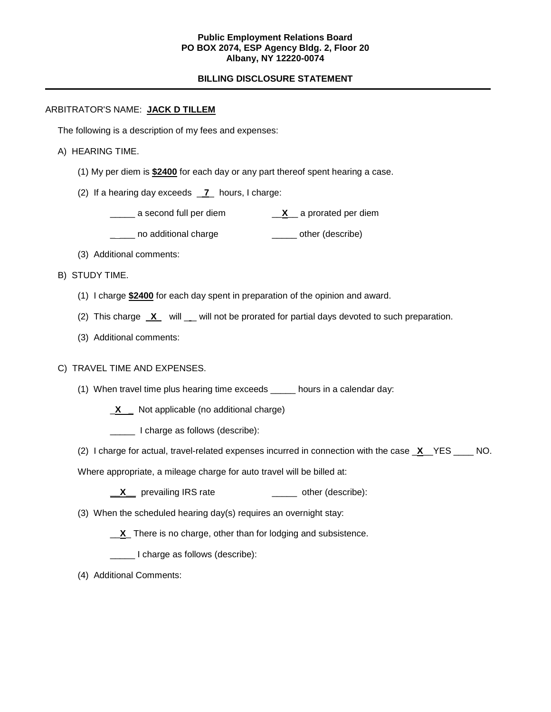### **Public Employment Relations Board PO BOX 2074, ESP Agency Bldg. 2, Floor 20 Albany, NY 12220-0074**

## **BILLING DISCLOSURE STATEMENT**

## ARBITRATOR'S NAME: **JACK D TILLEM**

The following is a description of my fees and expenses:

#### A) HEARING TIME.

- (1) My per diem is **\$2400** for each day or any part thereof spent hearing a case.
- (2) If a hearing day exceeds \_ **7**\_ hours, I charge:
	- \_\_\_\_\_ a second full per diem \_\_**X**\_\_ a prorated per diem
	- \_\_\_\_ no additional charge \_\_\_\_\_\_\_\_ other (describe)
- (3) Additional comments:
- B) STUDY TIME.
	- (1) I charge **\$2400** for each day spent in preparation of the opinion and award.
	- (2) This charge **X** will \_ will not be prorated for partial days devoted to such preparation.
	- (3) Additional comments:

#### C) TRAVEL TIME AND EXPENSES.

- (1) When travel time plus hearing time exceeds \_\_\_\_\_ hours in a calendar day:
	- \_**X \_** Not applicable (no additional charge)
	- \_\_\_\_\_ I charge as follows (describe):
- (2) I charge for actual, travel-related expenses incurred in connection with the case \_**X**\_\_YES \_\_\_\_ NO.

Where appropriate, a mileage charge for auto travel will be billed at:

- **\_\_X\_\_** prevailing IRS rate \_\_\_\_\_ other (describe):
- (3) When the scheduled hearing day(s) requires an overnight stay:
	- \_\_**X**\_ There is no charge, other than for lodging and subsistence.
	- \_\_\_\_\_ I charge as follows (describe):
- (4) Additional Comments: